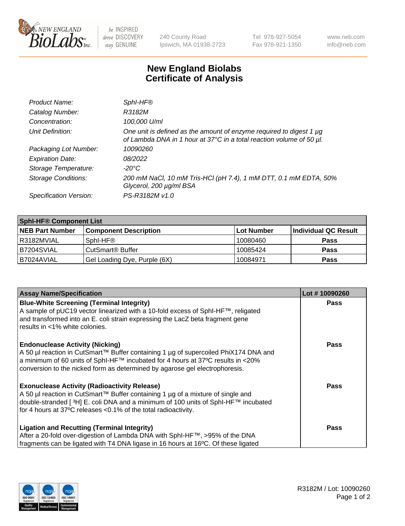

 $be$  INSPIRED drive DISCOVERY stay GENUINE

240 County Road Ipswich, MA 01938-2723 Tel 978-927-5054 Fax 978-921-1350 www.neb.com info@neb.com

## **New England Biolabs Certificate of Analysis**

| Product Name:              | Sphl-HF®                                                                                                                                    |
|----------------------------|---------------------------------------------------------------------------------------------------------------------------------------------|
| Catalog Number:            | R3182M                                                                                                                                      |
| Concentration:             | 100,000 U/ml                                                                                                                                |
| Unit Definition:           | One unit is defined as the amount of enzyme required to digest 1 µg<br>of Lambda DNA in 1 hour at 37°C in a total reaction volume of 50 µl. |
| Packaging Lot Number:      | 10090260                                                                                                                                    |
| <b>Expiration Date:</b>    | 08/2022                                                                                                                                     |
| Storage Temperature:       | $-20^{\circ}$ C                                                                                                                             |
| <b>Storage Conditions:</b> | 200 mM NaCl, 10 mM Tris-HCl (pH 7.4), 1 mM DTT, 0.1 mM EDTA, 50%<br>Glycerol, 200 µg/ml BSA                                                 |
| Specification Version:     | PS-R3182M v1.0                                                                                                                              |

| <b>Sphi-HF® Component List</b> |                              |                   |                      |  |  |
|--------------------------------|------------------------------|-------------------|----------------------|--|--|
| <b>NEB Part Number</b>         | <b>Component Description</b> | <b>Lot Number</b> | Individual QC Result |  |  |
| I R3182MVIAL                   | Sphl-HF®                     | 10080460          | <b>Pass</b>          |  |  |
| B7204SVIAL                     | CutSmart <sup>®</sup> Buffer | 10085424          | <b>Pass</b>          |  |  |
| I B7024AVIAL                   | Gel Loading Dye, Purple (6X) | 10084971          | <b>Pass</b>          |  |  |

| <b>Assay Name/Specification</b>                                                                                                                                                 | Lot #10090260 |
|---------------------------------------------------------------------------------------------------------------------------------------------------------------------------------|---------------|
| <b>Blue-White Screening (Terminal Integrity)</b>                                                                                                                                | <b>Pass</b>   |
| A sample of pUC19 vector linearized with a 10-fold excess of SphI-HF™, religated<br>and transformed into an E. coli strain expressing the LacZ beta fragment gene               |               |
| results in <1% white colonies.                                                                                                                                                  |               |
|                                                                                                                                                                                 |               |
| <b>Endonuclease Activity (Nicking)</b>                                                                                                                                          | Pass          |
| A 50 µl reaction in CutSmart™ Buffer containing 1 µg of supercoiled PhiX174 DNA and<br>$\alpha$ a minimum of 60 units of SphI-HF™ incubated for 4 hours at 37°C results in <20% |               |
| conversion to the nicked form as determined by agarose gel electrophoresis.                                                                                                     |               |
|                                                                                                                                                                                 |               |
| <b>Exonuclease Activity (Radioactivity Release)</b>                                                                                                                             | Pass          |
| A 50 µl reaction in CutSmart™ Buffer containing 1 µg of a mixture of single and                                                                                                 |               |
| double-stranded [3H] E. coli DNA and a minimum of 100 units of Sphl-HF™ incubated                                                                                               |               |
| for 4 hours at 37°C releases <0.1% of the total radioactivity.                                                                                                                  |               |
| <b>Ligation and Recutting (Terminal Integrity)</b>                                                                                                                              | <b>Pass</b>   |
| After a 20-fold over-digestion of Lambda DNA with SphI-HF™, >95% of the DNA                                                                                                     |               |
| fragments can be ligated with T4 DNA ligase in 16 hours at 16°C. Of these ligated                                                                                               |               |